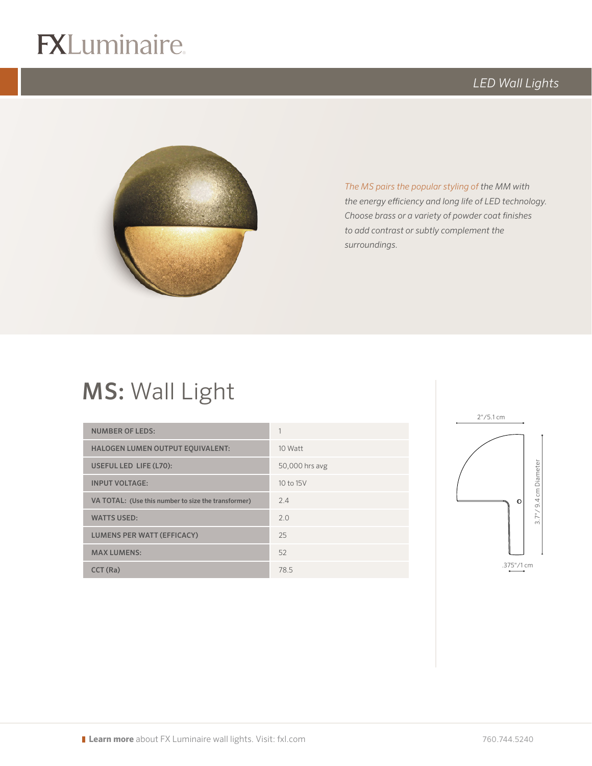# $R$

## *LED Wall Lights*



*The MS pairs the popular styling of the MM with the energy efficiency and long life of LED technology. Choose brass or a variety of powder coat finishes to add contrast or subtly complement the surroundings.*

# MS: Wall Light

| <b>NUMBER OF LEDS:</b>                              |                |
|-----------------------------------------------------|----------------|
| <b>HALOGEN LUMEN OUTPUT EQUIVALENT:</b>             | 10 Watt        |
| USEFUL LED LIFE (L70):                              | 50,000 hrs avg |
| <b>INPUT VOLTAGE:</b>                               | 10 to 15V      |
| VA TOTAL: (Use this number to size the transformer) | 24             |
| <b>WATTS USED:</b>                                  | 2.0            |
| <b>LUMENS PER WATT (EFFICACY)</b>                   | 25             |
| <b>MAX LUMENS:</b>                                  | 52             |
| CCT (Ra)                                            | 785            |

logo (4-color CMYK)